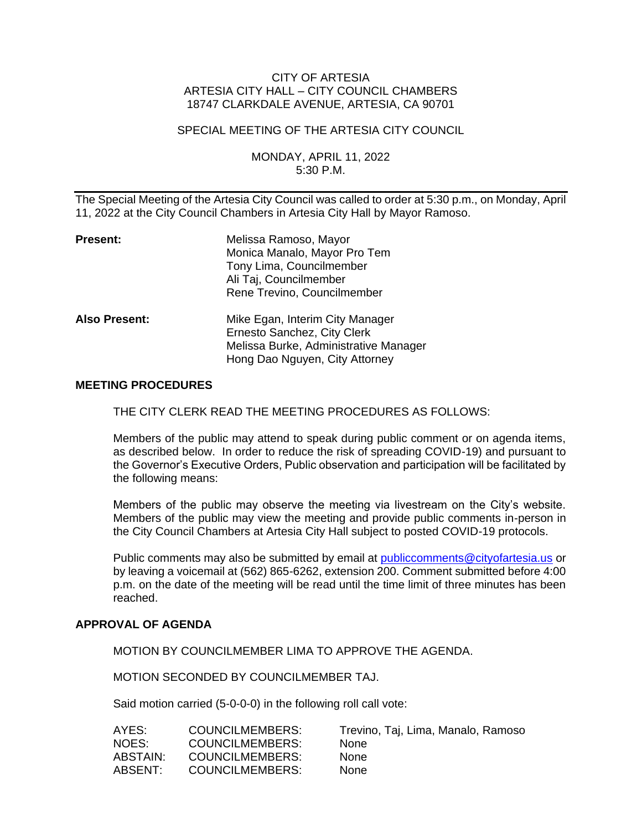### CITY OF ARTESIA ARTESIA CITY HALL – CITY COUNCIL CHAMBERS 18747 CLARKDALE AVENUE, ARTESIA, CA 90701

### SPECIAL MEETING OF THE ARTESIA CITY COUNCIL

### MONDAY, APRIL 11, 2022 5:30 P.M.

The Special Meeting of the Artesia City Council was called to order at 5:30 p.m., on Monday, April 11, 2022 at the City Council Chambers in Artesia City Hall by Mayor Ramoso.

| Present:      | Melissa Ramoso, Mayor<br>Monica Manalo, Mayor Pro Tem<br>Tony Lima, Councilmember<br>Ali Taj, Councilmember<br>Rene Trevino, Councilmember |
|---------------|--------------------------------------------------------------------------------------------------------------------------------------------|
| Also Present: | Mike Egan, Interim City Manager<br>Ernesto Sanchez, City Clerk<br>Melissa Burke, Administrative Manager<br>Hong Dao Nguyen, City Attorney  |

#### **MEETING PROCEDURES**

THE CITY CLERK READ THE MEETING PROCEDURES AS FOLLOWS:

Members of the public may attend to speak during public comment or on agenda items, as described below. In order to reduce the risk of spreading COVID-19) and pursuant to the Governor's Executive Orders, Public observation and participation will be facilitated by the following means:

Members of the public may observe the meeting via livestream on the City's website. Members of the public may view the meeting and provide public comments in-person in the City Council Chambers at Artesia City Hall subject to posted COVID-19 protocols.

Public comments may also be submitted by email at [publiccomments@cityofartesia.us](mailto:publiccomments@cityofartesia.us) or by leaving a voicemail at (562) 865-6262, extension 200. Comment submitted before 4:00 p.m. on the date of the meeting will be read until the time limit of three minutes has been reached.

### **APPROVAL OF AGENDA**

MOTION BY COUNCILMEMBER LIMA TO APPROVE THE AGENDA.

MOTION SECONDED BY COUNCILMEMBER TAJ.

Said motion carried (5-0-0-0) in the following roll call vote:

| AYES:    | COUNCILMEMBERS: | Trevino, Taj, Lima, Manalo, Ramoso |
|----------|-----------------|------------------------------------|
| NOES:    | COUNCILMEMBERS: | <b>None</b>                        |
| ABSTAIN: | COUNCILMEMBERS: | <b>None</b>                        |
| ABSENT:  | COUNCILMEMBERS: | <b>None</b>                        |